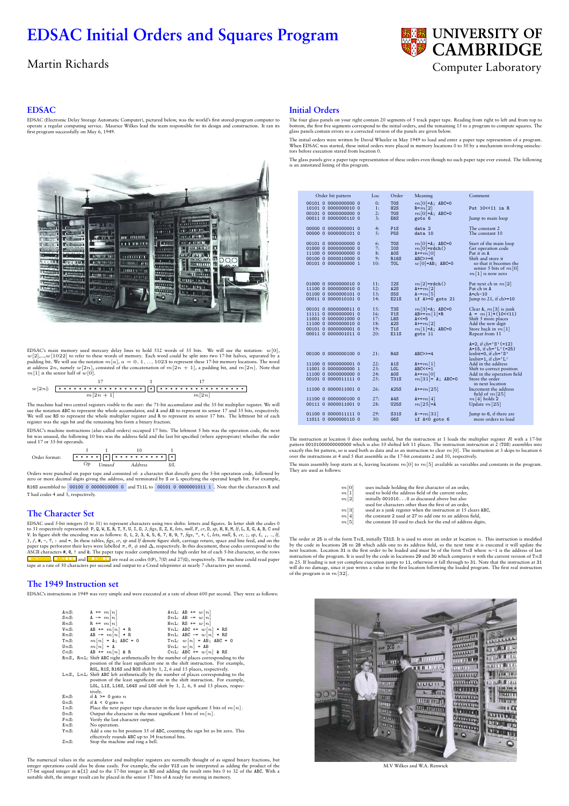# **EDSAC Initial Orders and Squares Program**



#### **EDSAC**

EDSAC (Electronic Delay Storage Automatic Computer), pictured below, was the world's first stored-program computer to<br>operate a regular computing service. Maurice Wilkes lead the team responsible for its design and constru



EDSAC's main memory used mercury delay lines to hold 512 words of 35 bits. We will use the notation:  $w[0,2]$ , to  $w[1]$  and  $w[2]$  to refer to these words of memory. Each word could be split into two 17-bit halves, separ

17 1 17 w[2n]: \* \* \* \* \* \* \* \* \* \* \* \* \* \* \* \* \* \* \* \* \* \* \* \* \* \* \* \* \* \* \* \* \* \* \* m[2n + 1] m[2n]

The machine had two central registers visible to the user: the 71-bit accumulator and the 35-bit multiplier register. We will use the notation ABC to represent the whole accumulator, and A and AB to represent its senior 17 and 35 bits, respectively.<br>We will use RS to represent the whole multiplier register and R to represent its senior 17 bits. T

EDSAC's machine instructions (also called orders) occupied 17 bits. The leftmost 5 bits was the operation code, the next<br>bit was unused, the following 10 bits was the address field and the last bit specified (where appropr used 17 or 35-bit operands.

5 1 10 1 Order format: \* \* \* \* \* \* \* \* \* \* \* \* \* \* \* \* \* *Op Unused Address S/L*

Orders were punched on paper tape and consisted of: a character that directly gave the 5-bit operation code, followed by zero or more decimal digits giving the address, and terminated by S or L specifying the operand length bit. For example, R16S assembled to 00100 0 0000010000 0 and T11L to 00101 0 0000001011 1 . Note that the characters R and T had codes 4 and 5, respectively.

#### **The Character Set**

EDSAC used 3-bit integers (0 to 31) to represent characters using two shifts: letters and figures. In letter shift the codes of a respectively represented: P, Q, W, E, B, T, Y, U, I, O, J, figs, S, Z, K, *lets*, *mull*, F

# **The 1949 Instruction set**

EDSAC's instructions in 1949 was very simple and were executed at a rate of about 600 per second. They were as follows:

| Ans:       | $A \equiv m[n]$                                                 | AnL: AB $\equiv w[n]$                                                                       |
|------------|-----------------------------------------------------------------|---------------------------------------------------------------------------------------------|
| SnS:       | $A = m[n]$                                                      | SnL: AB $= w[n]$                                                                            |
| $Hn$ S:    | $R \equiv m[n]$                                                 | HnL: RS $\equiv w[n]$                                                                       |
| VnS:       | AB $+= m[n] * R$                                                | VnL: ABC $+= w[n] * RS$                                                                     |
| NnS:       | AB $= m[n] * R$                                                 | NnL: ABC $= w[n] * RS$                                                                      |
| TnS:       | $m[n] = A$ ; ABC = 0                                            | TnL: $w[n] = AB$ ; ABC = 0                                                                  |
| UnS:       | $m[n] = A$                                                      | UnL: $w[n] = AB$                                                                            |
| CnS:       | AB $+= m[n]$ & R                                                | CnL: ABC $+= w[n]$ & RS                                                                     |
|            |                                                                 | $RnS$ , $RnL$ : Shift ABC right arithmetically by the number of places corresponding to the |
|            |                                                                 | position of the least significant one in the shift instruction. For example,                |
|            |                                                                 | ROL, R1S, R16S and ROS shift by 1, 2, 6 and 15 places, respectively.                        |
|            |                                                                 | $LnS$ , LnL: Shift ABC left arithmetically by the number of places corresponding to the     |
|            |                                                                 | position of the least significant one in the shift instruction. For example,                |
|            |                                                                 | LOL, L1S, L16S, L64S and LOS shift by 1, 2, 6, 8 and 13 places, respec-                     |
|            | tively.                                                         |                                                                                             |
| EnS:       | if $A > = 0$ goto n                                             |                                                                                             |
| $G_{mS}$ : | if $A \leq 0$ goto n                                            |                                                                                             |
| InS:       |                                                                 | Place the next paper tape character in the least significant 5 bits of $m[n]$ .             |
| $0n$ S:    | Output the character in the most significant 5 bits of $m[n]$ . |                                                                                             |
| FnS:       | Verify the last character output.                               |                                                                                             |
| $XnS$ :    | No operation.                                                   |                                                                                             |
| YnS:       |                                                                 | Add a one to bit position 35 of ABC, counting the sign bit as bit zero. This                |
|            | effectively rounds ARC up to 34 fractional bits                 |                                                                                             |

effectively rounds ABC up to 34 fractional bits. ZnS: Stop the machine and ring a bell.

The numerical values in the accumulator and multiplier registers are normally thought of as signed binary fractions, but<br>integer operations could also be done easily. For example, the order V1S can be interpreted as addin

# **Initial Orders**

The four glass panels on your right contain 20 segments of 5 track paper tape. Reading from right to left and from top to<br>bottom, the first five segments correspond to the initial orders, and the remaining 15 to a program

The initial orders were written by David Wheeler in May 1949 to load and enter a paper tape represention of a program.<br>When EDSAC was started, these initial orders were placed in memory locations 0 to 30 by a mechanism inv

The glass panels give a paper tape representation of these orders even though no such paper tape ever existed. The following is an annotated listing of this program.

| Order bit pattern    | Loc             | Order             | Meaning              | Comment                                                                 |
|----------------------|-----------------|-------------------|----------------------|-------------------------------------------------------------------------|
| 00101 0 0000000000 0 | 0:              | <b>TOS</b>        | $m[0]=A$ ; ABC=0     |                                                                         |
| 10101 0 0000000010 0 | 1:              | H2S               | $R = m[2]$           | Put 10<<11 in R                                                         |
| 00101 0 0000000000 0 | 2:              | <b>TOS</b>        | $m[0]=A$ ; ABC=0     |                                                                         |
| 00011 0 0000000110 0 | 3 <sub>i</sub>  | E6S               | goto 6               | Jump to main loop                                                       |
| 00000 0 0000000001 0 | 4:              | P <sub>1</sub> S  | data 2               | The constant 2                                                          |
| 00000 0 0000000101 0 | 5:              | <b>P5S</b>        | data 10              | The constant 10                                                         |
| 00101 0 0000000000 0 | 6:              | <b>TOS</b>        | $m[0]=A$ ; ABC=0     | Start of the main loop                                                  |
| 01000 0 0000000000 0 | 7:              | <b>IOS</b>        | $m[0]=rdch()$        | Get operation code                                                      |
| 11100 0 0000000000 0 | 8:              | AOS               | $A \leftarrow m[0]$  | Put it in A                                                             |
| 00100 0 0000010000 0 | 9:              | R <sub>16</sub> S | $ABC>>=6$            | Shift and store it                                                      |
| 00101 0 0000000000 1 | 10:             | TOL               | $w[0] = AB$ ; ABC=0  | so that it becomes the<br>senior 5 bits of $m[0]$<br>$m[1]$ is now zero |
| 01000 0 0000000010 0 | 11:             | I2S               | $m[2]$ =rdch()       | Put next ch in $m[2]$                                                   |
| 11100 0 0000000010 0 | 12:             | A2S               | $A+ = m[2]$          | Put ch in A                                                             |
| 01100 0 0000000101 0 | 13:             | S <sub>5</sub> S  | $A = m[5]$           | $A = ch - 10$                                                           |
| 00011 0 0000010101 0 | 14:             | E21S              | if $A> = 0$ goto 21  | Jump to 21, if $\text{ch}$ >=10                                         |
| 00101 0 0000000011 0 | 15:             | T3S               | $m[3]=A; ABC=0$      | Clear A, $m[3]$ is junk                                                 |
| 11111 0 0000000001 0 | 16:             | V1S               | $AB+=m[1]*R$         | $A = m[1] * (10 < 11)$                                                  |
| 11001 0 0000001000 0 | 17:             | L8S               | $A < \leq 5$         | Shift 5 more places                                                     |
| 11100 0 0000000010 0 | 18 <sub>1</sub> | A2S               | $A \leftarrow m[2]$  | Add the new digit                                                       |
| 00101 0 0000000001 0 | 19:             | T <sub>1</sub> S  | $m[1]=A$ ; ABC=0     | Store back in $m[1]$                                                    |
| 00011 0 0000001011 0 | 20:             | E11S              | goto 11              | Repeat from 11                                                          |
|                      |                 |                   |                      | $A=2$ , if ch='S' (=12)                                                 |
|                      |                 |                   |                      | $A=15$ , if ch= $(L'(=25))$                                             |
| 00100 0 0000000100 0 | 21:             | R4S               | $ABC>>=4$            | lenbit=0, if ch='S'                                                     |
|                      |                 |                   |                      | lenbit=1, if $ch = 'L'$                                                 |
| 11100 0 0000000001 0 | 22:             | A1S               | $A^{+m}[1]$          | Add in the address                                                      |
| 11001 0 0000000000 1 | 23:             | LOL               | $ABC<<=1$            | Shift to correct position                                               |
| 11100 0 0000000000 0 | 24:             | AOS               | $A+=m[0]$            | Add in the operation field                                              |
| 00101 0 0000011111 0 | 25:             | <b>T31S</b>       | $m[31] = A; ABC=0$   | Store the order<br>in next location                                     |
| 11100 0 0000011001 0 | 26:             | A25S              | $A \leftarrow m[25]$ | Increment the address                                                   |
| 11100 0 0000000100 0 | 27:             | A4S               | $A \leftarrow m[4]$  | field of $m[25]$                                                        |
| 00111 0 0000011001 0 | 28:             | <b>U25S</b>       | $m[25]=A$            | $m[4]$ holds 2<br>Update $m[25]$                                        |
|                      |                 |                   |                      |                                                                         |
| 01100 0 0000011111 0 | 29:             | S31S              | $A = m[31]$          | Jump to 6, if there are                                                 |
| 11011 0 0000000110 0 | 30:             | G6S               | if $A < 0$ goto $6$  | more orders to load                                                     |

The instruction at location 0 does nothing useful, but the instruction at 1 loads the multiplier register  $R$  with a 17-bit<br>pattern 001010000000000000 which is also 10 shifted left 11 places. The instruction instruction a

The main assembly loop starts at 6, leaving locations  $m[0]$  to  $m[5]$  available as variables and constants in the program. They are used as foll

| m[0] | uses include holding the first character of an order,          |
|------|----------------------------------------------------------------|
| m[1] | used to hold the address field of the current order,           |
| m[2] | initially 0010100 as discussed above but also                  |
|      | used for characters other than the first of an order,          |
| m[3] | used as a junk register when the instruction at 15 clears ABC, |
| m[4] | the constant 2 used at 27 to add one to an address field,      |
| m[5] | the constant 10 used to check for the end of address digits.   |

The order at 25 is of the form Tr.8, initially T315. It is used to store an order at location *n*. This instruction is modified by the code in locations 26 to 28 which adds one to its address field, so the next time it is



M.V Wilkes and W.A. Renwick